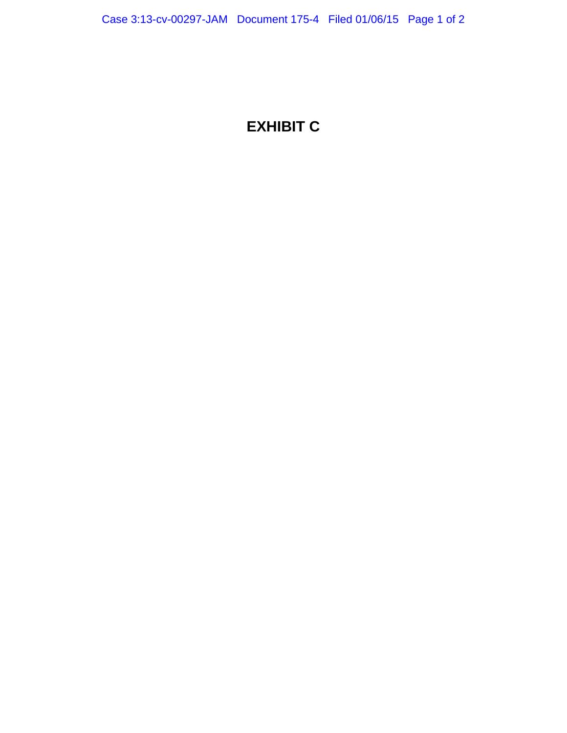## **EXHIBIT C**